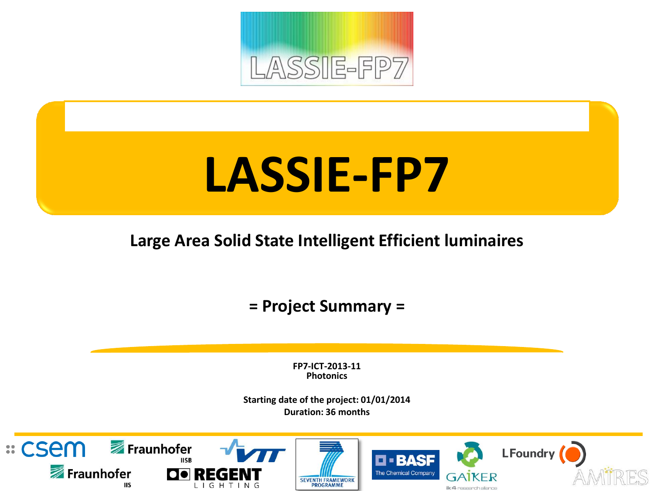

# **LASSIE-FP7**

**Large Area Solid State Intelligent Efficient luminaires**

**= Project Summary =**

**FP7-ICT-2013-11 Photonics**

**Starting date of the project: 01/01/2014 Duration: 36 months**

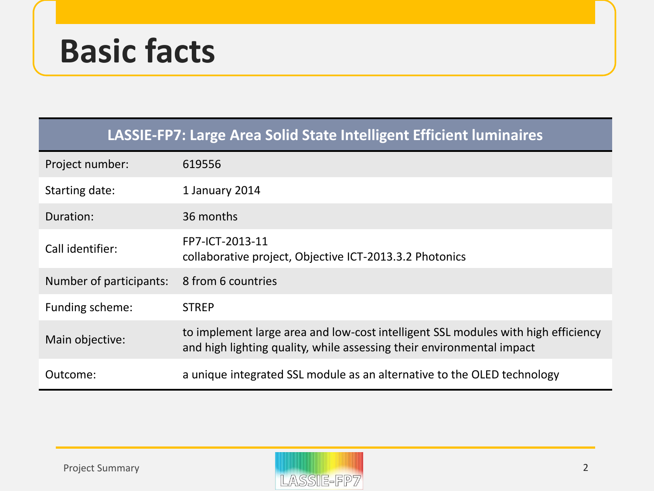# **Basic facts**

| LASSIE-FP7: Large Area Solid State Intelligent Efficient luminaires |                                                                                                                                                            |  |  |
|---------------------------------------------------------------------|------------------------------------------------------------------------------------------------------------------------------------------------------------|--|--|
| Project number:                                                     | 619556                                                                                                                                                     |  |  |
| Starting date:                                                      | 1 January 2014                                                                                                                                             |  |  |
| Duration:                                                           | 36 months                                                                                                                                                  |  |  |
| Call identifier:                                                    | FP7-ICT-2013-11<br>collaborative project, Objective ICT-2013.3.2 Photonics                                                                                 |  |  |
| Number of participants:                                             | 8 from 6 countries                                                                                                                                         |  |  |
| Funding scheme:                                                     | <b>STREP</b>                                                                                                                                               |  |  |
| Main objective:                                                     | to implement large area and low-cost intelligent SSL modules with high efficiency<br>and high lighting quality, while assessing their environmental impact |  |  |
| Outcome:                                                            | a unique integrated SSL module as an alternative to the OLED technology                                                                                    |  |  |

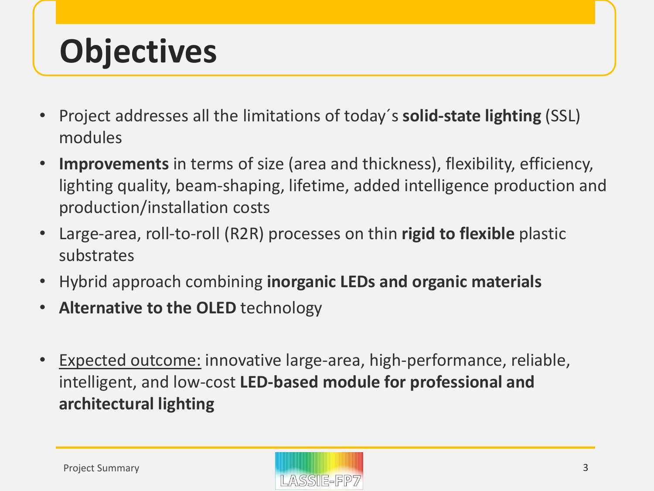# **Objectives**

- Project addresses all the limitations of today´s **solid-state lighting** (SSL) modules
- **Improvements** in terms of size (area and thickness), flexibility, efficiency, lighting quality, beam-shaping, lifetime, added intelligence production and production/installation costs
- Large-area, roll-to-roll (R2R) processes on thin **rigid to flexible** plastic substrates
- Hybrid approach combining **inorganic LEDs and organic materials**
- **Alternative to the OLED** technology
- Expected outcome: innovative large-area, high-performance, reliable, intelligent, and low-cost **LED-based module for professional and architectural lighting**

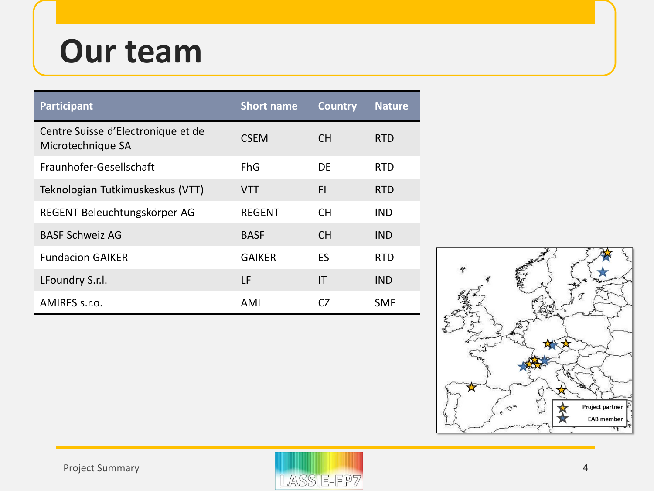# **Our team**

| <b>Participant</b>                                      | <b>Short name</b> | <b>Country</b> | <b>Nature</b> |
|---------------------------------------------------------|-------------------|----------------|---------------|
| Centre Suisse d'Electronique et de<br>Microtechnique SA | <b>CSEM</b>       | <b>CH</b>      | <b>RTD</b>    |
| Fraunhofer-Gesellschaft                                 | FhG               | DF             | <b>RTD</b>    |
| Teknologian Tutkimuskeskus (VTT)                        | <b>VTT</b>        | <b>FI</b>      | <b>RTD</b>    |
| REGENT Beleuchtungskörper AG                            | <b>REGENT</b>     | <b>CH</b>      | <b>IND</b>    |
| <b>BASF Schweiz AG</b>                                  | <b>BASF</b>       | <b>CH</b>      | <b>IND</b>    |
| <b>Fundacion GAIKER</b>                                 | <b>GAIKER</b>     | ES             | <b>RTD</b>    |
| LFoundry S.r.l.                                         | LF                | IT             | <b>IND</b>    |
| AMIRES s.r.o.                                           | AMI               | CZ.            | <b>SME</b>    |



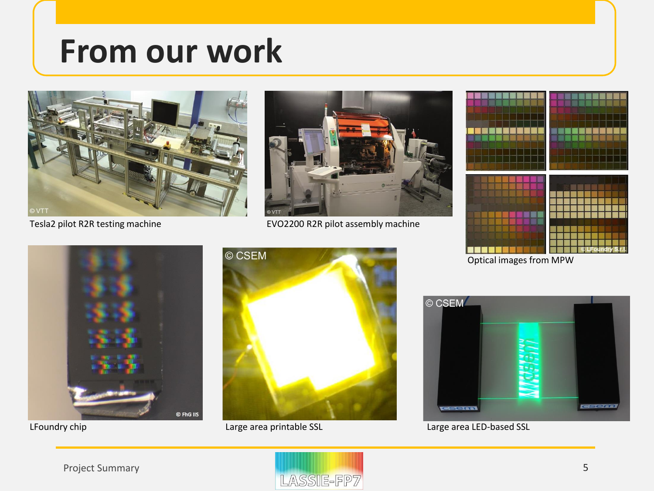### **From our work**





Tesla2 pilot R2R testing machine EVO2200 R2R pilot assembly machine



Optical images from MPW







LFoundry chip and the Large area printable SSL Large area LED-based SSL